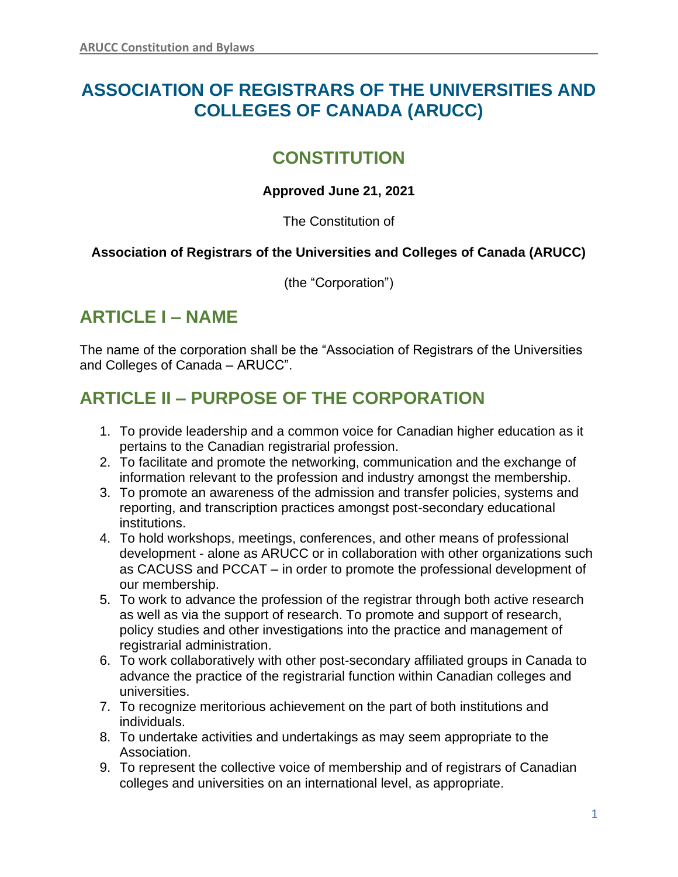# **ASSOCIATION OF REGISTRARS OF THE UNIVERSITIES AND COLLEGES OF CANADA (ARUCC)**

# **CONSTITUTION**

## **Approved June 21, 2021**

The Constitution of

## **Association of Registrars of the Universities and Colleges of Canada (ARUCC)**

(the "Corporation")

# **ARTICLE I – NAME**

The name of the corporation shall be the "Association of Registrars of the Universities and Colleges of Canada – ARUCC".

# **ARTICLE II – PURPOSE OF THE CORPORATION**

- 1. To provide leadership and a common voice for Canadian higher education as it pertains to the Canadian registrarial profession.
- 2. To facilitate and promote the networking, communication and the exchange of information relevant to the profession and industry amongst the membership.
- 3. To promote an awareness of the admission and transfer policies, systems and reporting, and transcription practices amongst post-secondary educational institutions.
- 4. To hold workshops, meetings, conferences, and other means of professional development - alone as ARUCC or in collaboration with other organizations such as CACUSS and PCCAT – in order to promote the professional development of our membership.
- 5. To work to advance the profession of the registrar through both active research as well as via the support of research. To promote and support of research, policy studies and other investigations into the practice and management of registrarial administration.
- 6. To work collaboratively with other post-secondary affiliated groups in Canada to advance the practice of the registrarial function within Canadian colleges and universities.
- 7. To recognize meritorious achievement on the part of both institutions and individuals.
- 8. To undertake activities and undertakings as may seem appropriate to the Association.
- 9. To represent the collective voice of membership and of registrars of Canadian colleges and universities on an international level, as appropriate.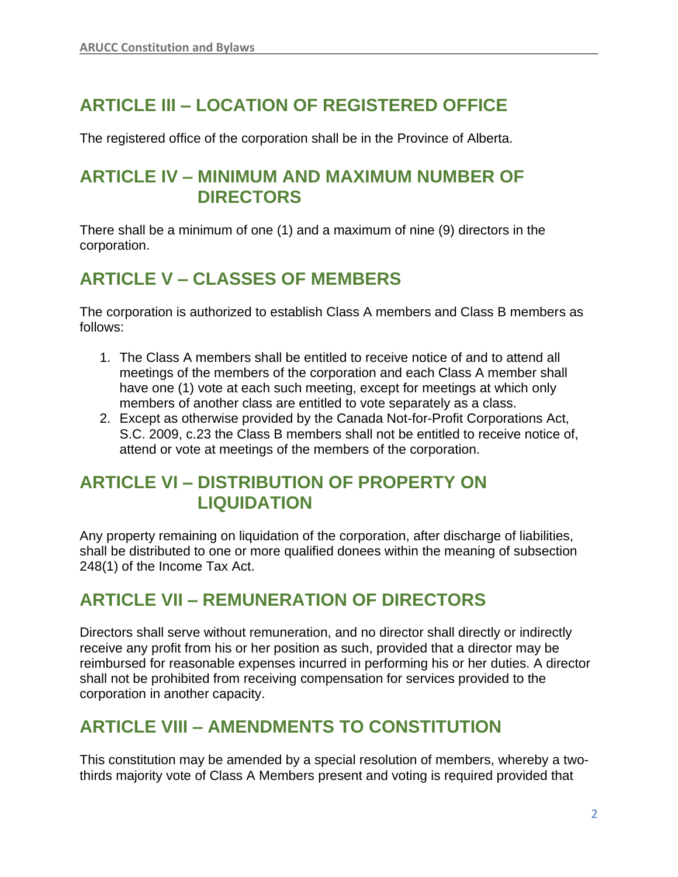# **ARTICLE III – LOCATION OF REGISTERED OFFICE**

The registered office of the corporation shall be in the Province of Alberta.

## **ARTICLE IV – MINIMUM AND MAXIMUM NUMBER OF DIRECTORS**

There shall be a minimum of one (1) and a maximum of nine (9) directors in the corporation.

# **ARTICLE V – CLASSES OF MEMBERS**

The corporation is authorized to establish Class A members and Class B members as follows:

- 1. The Class A members shall be entitled to receive notice of and to attend all meetings of the members of the corporation and each Class A member shall have one (1) vote at each such meeting, except for meetings at which only members of another class are entitled to vote separately as a class.
- 2. Except as otherwise provided by the Canada Not-for-Profit Corporations Act, S.C. 2009, c.23 the Class B members shall not be entitled to receive notice of, attend or vote at meetings of the members of the corporation.

## **ARTICLE VI – DISTRIBUTION OF PROPERTY ON LIQUIDATION**

Any property remaining on liquidation of the corporation, after discharge of liabilities, shall be distributed to one or more qualified donees within the meaning of subsection 248(1) of the Income Tax Act.

## **ARTICLE VII – REMUNERATION OF DIRECTORS**

Directors shall serve without remuneration, and no director shall directly or indirectly receive any profit from his or her position as such, provided that a director may be reimbursed for reasonable expenses incurred in performing his or her duties. A director shall not be prohibited from receiving compensation for services provided to the corporation in another capacity.

## **ARTICLE VIII – AMENDMENTS TO CONSTITUTION**

This constitution may be amended by a special resolution of members, whereby a twothirds majority vote of Class A Members present and voting is required provided that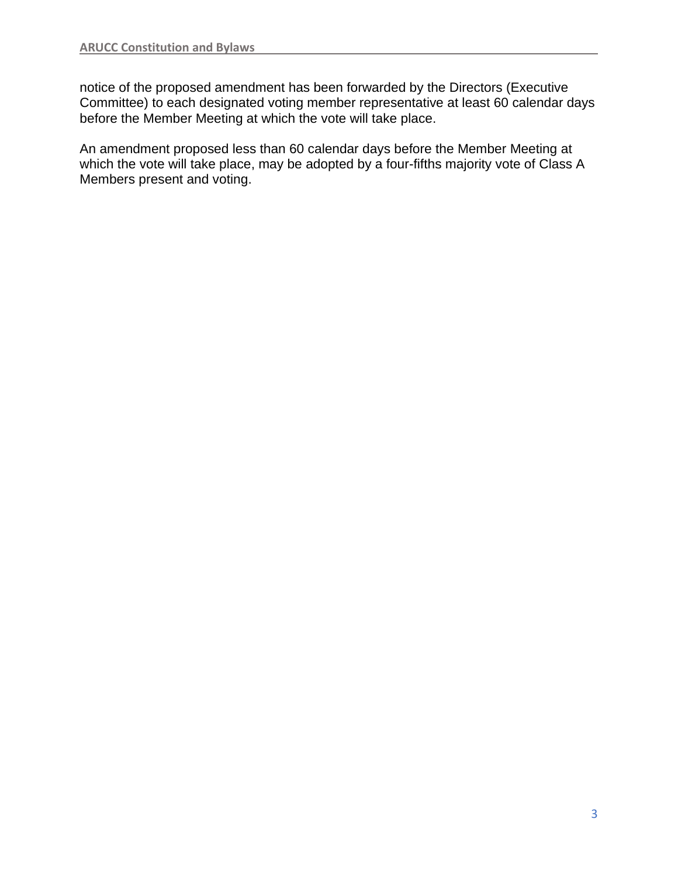notice of the proposed amendment has been forwarded by the Directors (Executive Committee) to each designated voting member representative at least 60 calendar days before the Member Meeting at which the vote will take place.

An amendment proposed less than 60 calendar days before the Member Meeting at which the vote will take place, may be adopted by a four-fifths majority vote of Class A Members present and voting.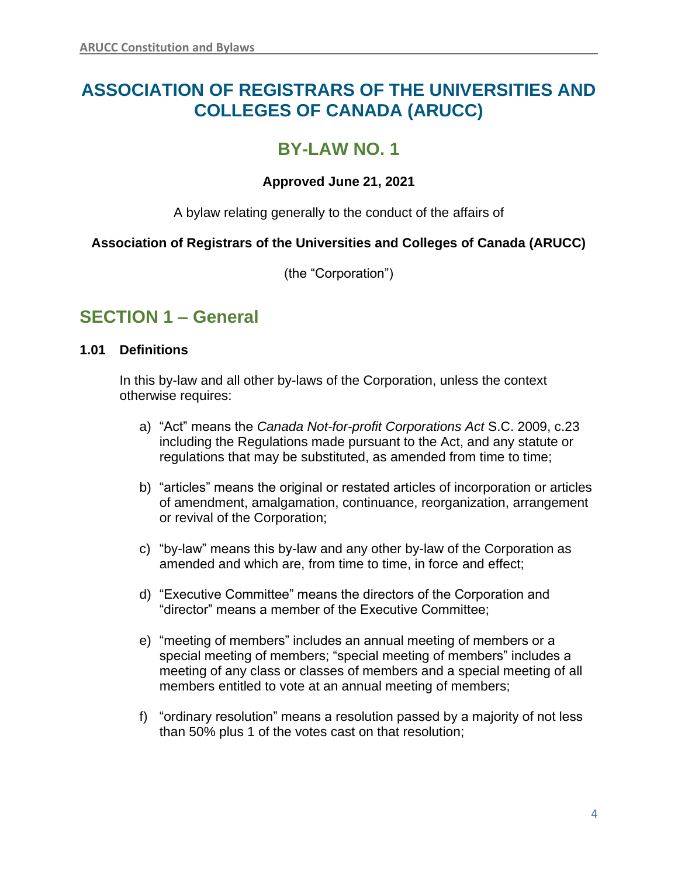# **ASSOCIATION OF REGISTRARS OF THE UNIVERSITIES AND COLLEGES OF CANADA (ARUCC)**

# **BY-LAW NO. 1**

## **Approved June 21, 2021**

A bylaw relating generally to the conduct of the affairs of

## **Association of Registrars of the Universities and Colleges of Canada (ARUCC)**

(the "Corporation")

## **SECTION 1 – General**

## **1.01 Definitions**

In this by-law and all other by-laws of the Corporation, unless the context otherwise requires:

- a) "Act" means the *Canada Not-for-profit Corporations Act* S.C. 2009, c.23 including the Regulations made pursuant to the Act, and any statute or regulations that may be substituted, as amended from time to time;
- b) "articles" means the original or restated articles of incorporation or articles of amendment, amalgamation, continuance, reorganization, arrangement or revival of the Corporation;
- c) "by-law" means this by-law and any other by-law of the Corporation as amended and which are, from time to time, in force and effect;
- d) "Executive Committee" means the directors of the Corporation and "director" means a member of the Executive Committee;
- e) "meeting of members" includes an annual meeting of members or a special meeting of members; "special meeting of members" includes a meeting of any class or classes of members and a special meeting of all members entitled to vote at an annual meeting of members;
- f) "ordinary resolution" means a resolution passed by a majority of not less than 50% plus 1 of the votes cast on that resolution;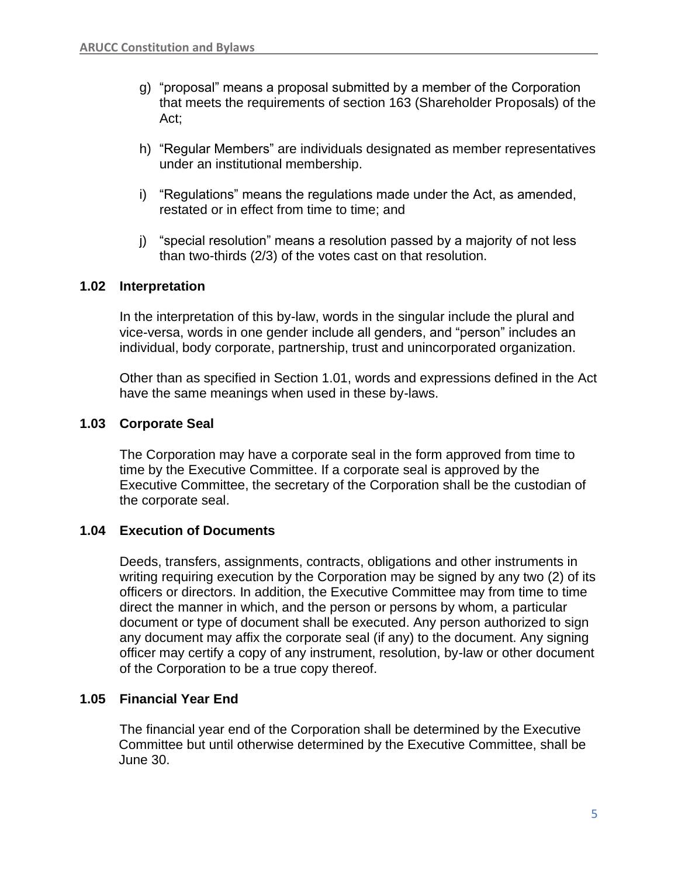- g) "proposal" means a proposal submitted by a member of the Corporation that meets the requirements of section 163 (Shareholder Proposals) of the Act;
- h) "Regular Members" are individuals designated as member representatives under an institutional membership.
- i) "Regulations" means the regulations made under the Act, as amended, restated or in effect from time to time; and
- j) "special resolution" means a resolution passed by a majority of not less than two-thirds (2/3) of the votes cast on that resolution.

## **1.02 Interpretation**

In the interpretation of this by-law, words in the singular include the plural and vice-versa, words in one gender include all genders, and "person" includes an individual, body corporate, partnership, trust and unincorporated organization.

Other than as specified in Section 1.01, words and expressions defined in the Act have the same meanings when used in these by-laws.

#### **1.03 Corporate Seal**

The Corporation may have a corporate seal in the form approved from time to time by the Executive Committee. If a corporate seal is approved by the Executive Committee, the secretary of the Corporation shall be the custodian of the corporate seal.

#### **1.04 Execution of Documents**

Deeds, transfers, assignments, contracts, obligations and other instruments in writing requiring execution by the Corporation may be signed by any two (2) of its officers or directors. In addition, the Executive Committee may from time to time direct the manner in which, and the person or persons by whom, a particular document or type of document shall be executed. Any person authorized to sign any document may affix the corporate seal (if any) to the document. Any signing officer may certify a copy of any instrument, resolution, by-law or other document of the Corporation to be a true copy thereof.

#### **1.05 Financial Year End**

The financial year end of the Corporation shall be determined by the Executive Committee but until otherwise determined by the Executive Committee, shall be June 30.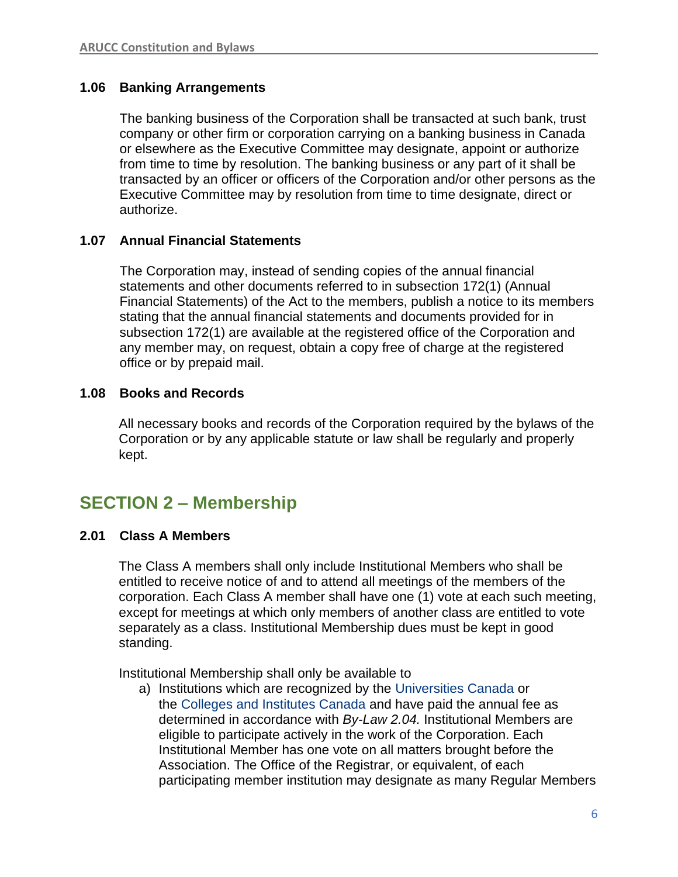## **1.06 Banking Arrangements**

The banking business of the Corporation shall be transacted at such bank, trust company or other firm or corporation carrying on a banking business in Canada or elsewhere as the Executive Committee may designate, appoint or authorize from time to time by resolution. The banking business or any part of it shall be transacted by an officer or officers of the Corporation and/or other persons as the Executive Committee may by resolution from time to time designate, direct or authorize.

## **1.07 Annual Financial Statements**

The Corporation may, instead of sending copies of the annual financial statements and other documents referred to in subsection 172(1) (Annual Financial Statements) of the Act to the members, publish a notice to its members stating that the annual financial statements and documents provided for in subsection 172(1) are available at the registered office of the Corporation and any member may, on request, obtain a copy free of charge at the registered office or by prepaid mail.

## **1.08 Books and Records**

All necessary books and records of the Corporation required by the bylaws of the Corporation or by any applicable statute or law shall be regularly and properly kept.

## **SECTION 2 – Membership**

## **2.01 Class A Members**

The Class A members shall only include Institutional Members who shall be entitled to receive notice of and to attend all meetings of the members of the corporation. Each Class A member shall have one (1) vote at each such meeting, except for meetings at which only members of another class are entitled to vote separately as a class. Institutional Membership dues must be kept in good standing.

Institutional Membership shall only be available to

a) Institutions which are recognized by the [Universities Canada](https://www.univcan.ca/) or the [Colleges and Institutes Canada](https://www.collegesinstitutes.ca/) and have paid the annual fee as determined in accordance with *By-Law 2.04.* Institutional Members are eligible to participate actively in the work of the Corporation. Each Institutional Member has one vote on all matters brought before the Association. The Office of the Registrar, or equivalent, of each participating member institution may designate as many Regular Members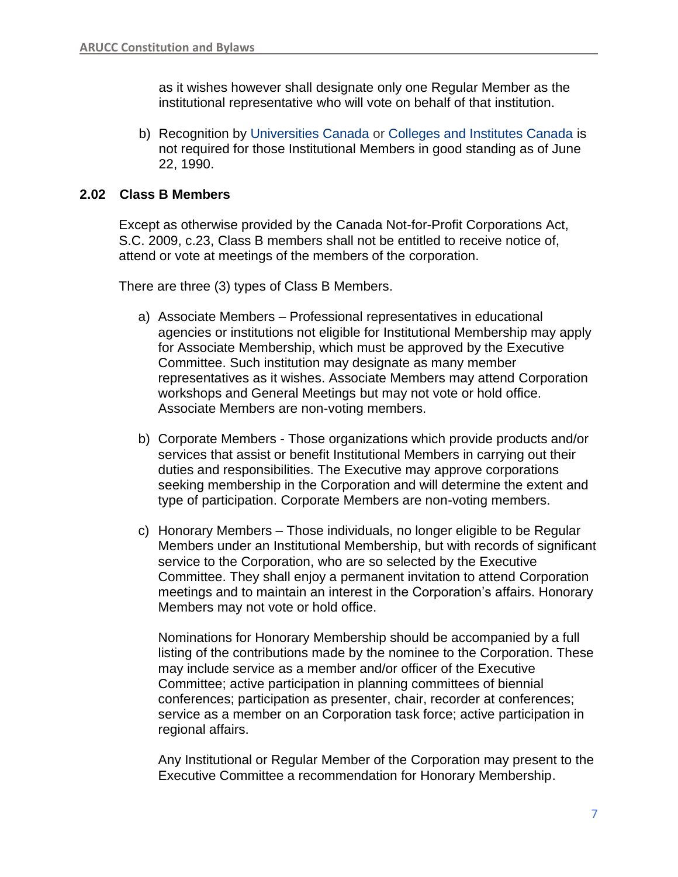as it wishes however shall designate only one Regular Member as the institutional representative who will vote on behalf of that institution.

b) Recognition by [Universities Canada](https://www.univcan.ca/) or [Colleges and Institutes Canada](https://www.collegesinstitutes.ca/) is not required for those Institutional Members in good standing as of June 22, 1990.

## **2.02 Class B Members**

Except as otherwise provided by the Canada Not-for-Profit Corporations Act, S.C. 2009, c.23, Class B members shall not be entitled to receive notice of, attend or vote at meetings of the members of the corporation.

There are three (3) types of Class B Members.

- a) Associate Members Professional representatives in educational agencies or institutions not eligible for Institutional Membership may apply for Associate Membership, which must be approved by the Executive Committee. Such institution may designate as many member representatives as it wishes. Associate Members may attend Corporation workshops and General Meetings but may not vote or hold office. Associate Members are non-voting members.
- b) Corporate Members Those organizations which provide products and/or services that assist or benefit Institutional Members in carrying out their duties and responsibilities. The Executive may approve corporations seeking membership in the Corporation and will determine the extent and type of participation. Corporate Members are non-voting members.
- c) Honorary Members Those individuals, no longer eligible to be Regular Members under an Institutional Membership, but with records of significant service to the Corporation, who are so selected by the Executive Committee. They shall enjoy a permanent invitation to attend Corporation meetings and to maintain an interest in the Corporation's affairs. Honorary Members may not vote or hold office.

Nominations for Honorary Membership should be accompanied by a full listing of the contributions made by the nominee to the Corporation. These may include service as a member and/or officer of the Executive Committee; active participation in planning committees of biennial conferences; participation as presenter, chair, recorder at conferences; service as a member on an Corporation task force; active participation in regional affairs.

Any Institutional or Regular Member of the Corporation may present to the Executive Committee a recommendation for Honorary Membership.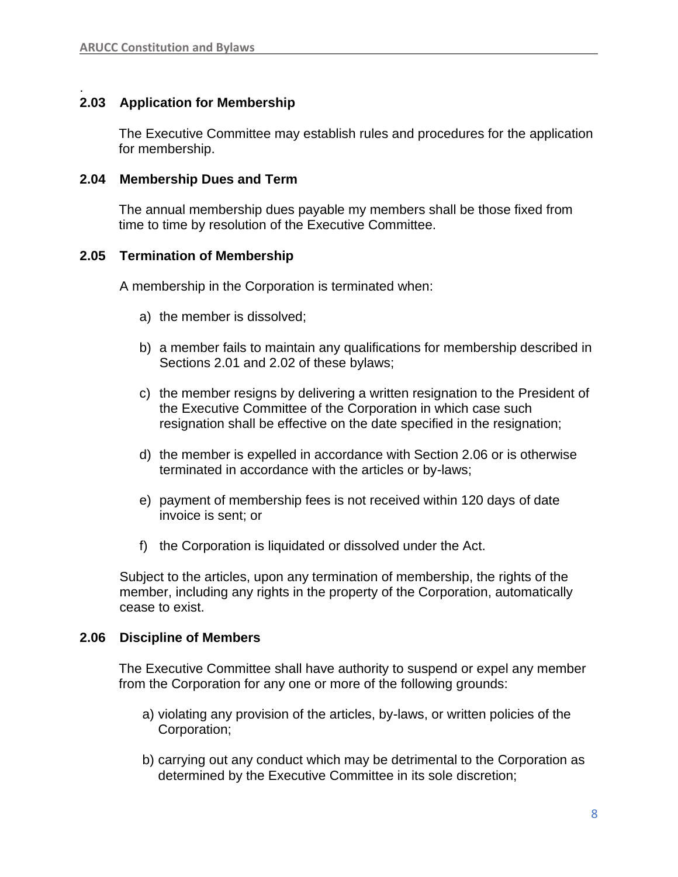#### . **2.03 Application for Membership**

The Executive Committee may establish rules and procedures for the application for membership.

#### **2.04 Membership Dues and Term**

The annual membership dues payable my members shall be those fixed from time to time by resolution of the Executive Committee.

## **2.05 Termination of Membership**

A membership in the Corporation is terminated when:

- a) the member is dissolved;
- b) a member fails to maintain any qualifications for membership described in Sections 2.01 and 2.02 of these bylaws;
- c) the member resigns by delivering a written resignation to the President of the Executive Committee of the Corporation in which case such resignation shall be effective on the date specified in the resignation;
- d) the member is expelled in accordance with Section 2.06 or is otherwise terminated in accordance with the articles or by-laws;
- e) payment of membership fees is not received within 120 days of date invoice is sent; or
- f) the Corporation is liquidated or dissolved under the Act.

Subject to the articles, upon any termination of membership, the rights of the member, including any rights in the property of the Corporation, automatically cease to exist.

#### **2.06 Discipline of Members**

The Executive Committee shall have authority to suspend or expel any member from the Corporation for any one or more of the following grounds:

- a) violating any provision of the articles, by-laws, or written policies of the Corporation;
- b) carrying out any conduct which may be detrimental to the Corporation as determined by the Executive Committee in its sole discretion;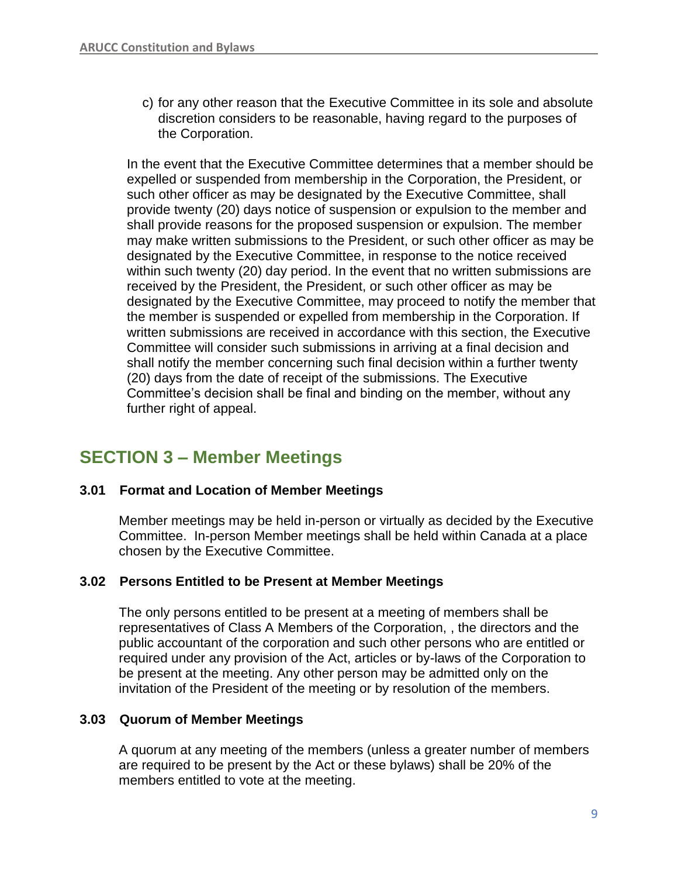c) for any other reason that the Executive Committee in its sole and absolute discretion considers to be reasonable, having regard to the purposes of the Corporation.

In the event that the Executive Committee determines that a member should be expelled or suspended from membership in the Corporation, the President, or such other officer as may be designated by the Executive Committee, shall provide twenty (20) days notice of suspension or expulsion to the member and shall provide reasons for the proposed suspension or expulsion. The member may make written submissions to the President, or such other officer as may be designated by the Executive Committee, in response to the notice received within such twenty (20) day period. In the event that no written submissions are received by the President, the President, or such other officer as may be designated by the Executive Committee, may proceed to notify the member that the member is suspended or expelled from membership in the Corporation. If written submissions are received in accordance with this section, the Executive Committee will consider such submissions in arriving at a final decision and shall notify the member concerning such final decision within a further twenty (20) days from the date of receipt of the submissions. The Executive Committee's decision shall be final and binding on the member, without any further right of appeal.

## **SECTION 3 – Member Meetings**

## **3.01 Format and Location of Member Meetings**

Member meetings may be held in-person or virtually as decided by the Executive Committee. In-person Member meetings shall be held within Canada at a place chosen by the Executive Committee.

## **3.02 Persons Entitled to be Present at Member Meetings**

The only persons entitled to be present at a meeting of members shall be representatives of Class A Members of the Corporation, , the directors and the public accountant of the corporation and such other persons who are entitled or required under any provision of the Act, articles or by-laws of the Corporation to be present at the meeting. Any other person may be admitted only on the invitation of the President of the meeting or by resolution of the members.

## **3.03 Quorum of Member Meetings**

A quorum at any meeting of the members (unless a greater number of members are required to be present by the Act or these bylaws) shall be 20% of the members entitled to vote at the meeting.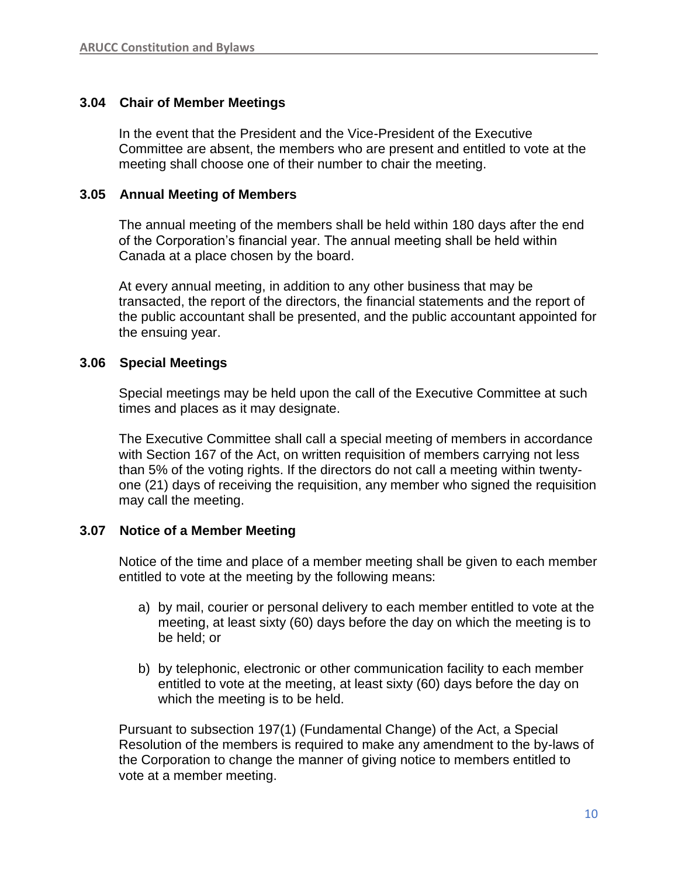## **3.04 Chair of Member Meetings**

In the event that the President and the Vice-President of the Executive Committee are absent, the members who are present and entitled to vote at the meeting shall choose one of their number to chair the meeting.

#### **3.05 Annual Meeting of Members**

The annual meeting of the members shall be held within 180 days after the end of the Corporation's financial year. The annual meeting shall be held within Canada at a place chosen by the board.

At every annual meeting, in addition to any other business that may be transacted, the report of the directors, the financial statements and the report of the public accountant shall be presented, and the public accountant appointed for the ensuing year.

#### **3.06 Special Meetings**

Special meetings may be held upon the call of the Executive Committee at such times and places as it may designate.

The Executive Committee shall call a special meeting of members in accordance with Section 167 of the Act, on written requisition of members carrying not less than 5% of the voting rights. If the directors do not call a meeting within twentyone (21) days of receiving the requisition, any member who signed the requisition may call the meeting.

## **3.07 Notice of a Member Meeting**

Notice of the time and place of a member meeting shall be given to each member entitled to vote at the meeting by the following means:

- a) by mail, courier or personal delivery to each member entitled to vote at the meeting, at least sixty (60) days before the day on which the meeting is to be held; or
- b) by telephonic, electronic or other communication facility to each member entitled to vote at the meeting, at least sixty (60) days before the day on which the meeting is to be held.

Pursuant to subsection 197(1) (Fundamental Change) of the Act, a Special Resolution of the members is required to make any amendment to the by-laws of the Corporation to change the manner of giving notice to members entitled to vote at a member meeting.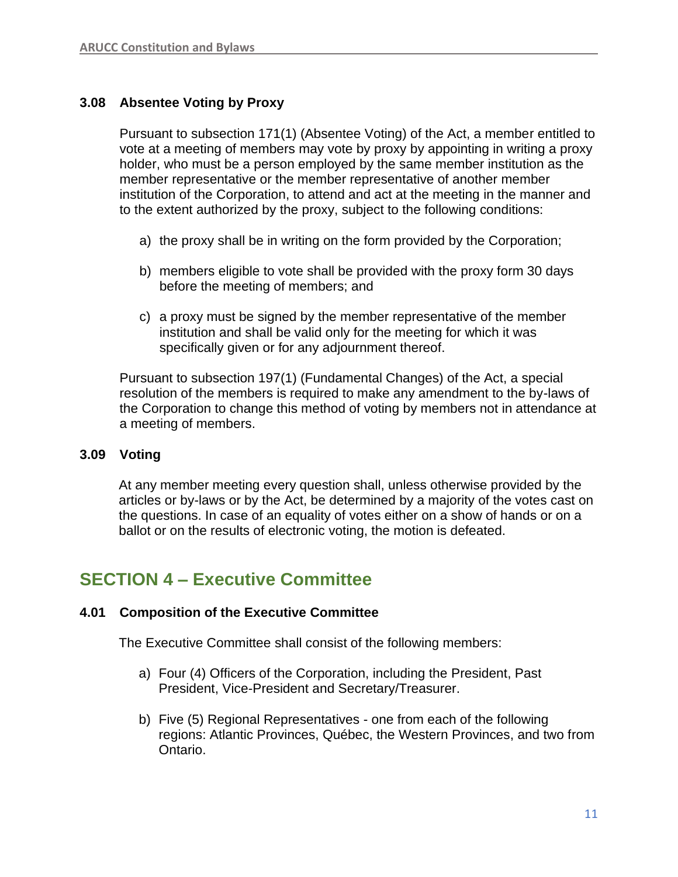## **3.08 Absentee Voting by Proxy**

Pursuant to subsection 171(1) (Absentee Voting) of the Act, a member entitled to vote at a meeting of members may vote by proxy by appointing in writing a proxy holder, who must be a person employed by the same member institution as the member representative or the member representative of another member institution of the Corporation, to attend and act at the meeting in the manner and to the extent authorized by the proxy, subject to the following conditions:

- a) the proxy shall be in writing on the form provided by the Corporation;
- b) members eligible to vote shall be provided with the proxy form 30 days before the meeting of members; and
- c) a proxy must be signed by the member representative of the member institution and shall be valid only for the meeting for which it was specifically given or for any adjournment thereof.

Pursuant to subsection 197(1) (Fundamental Changes) of the Act, a special resolution of the members is required to make any amendment to the by-laws of the Corporation to change this method of voting by members not in attendance at a meeting of members.

## **3.09 Voting**

At any member meeting every question shall, unless otherwise provided by the articles or by-laws or by the Act, be determined by a majority of the votes cast on the questions. In case of an equality of votes either on a show of hands or on a ballot or on the results of electronic voting, the motion is defeated.

## **SECTION 4 – Executive Committee**

## **4.01 Composition of the Executive Committee**

The Executive Committee shall consist of the following members:

- a) Four (4) Officers of the Corporation, including the President, Past President, Vice-President and Secretary/Treasurer.
- b) Five (5) Regional Representatives one from each of the following regions: Atlantic Provinces, Québec, the Western Provinces, and two from Ontario.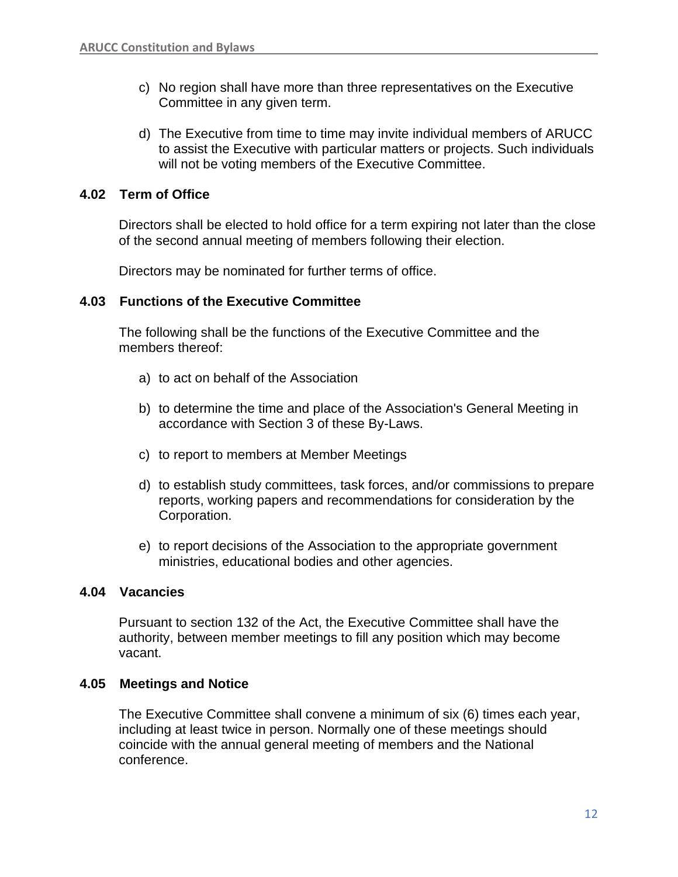- c) No region shall have more than three representatives on the Executive Committee in any given term.
- d) The Executive from time to time may invite individual members of ARUCC to assist the Executive with particular matters or projects. Such individuals will not be voting members of the Executive Committee.

## **4.02 Term of Office**

Directors shall be elected to hold office for a term expiring not later than the close of the second annual meeting of members following their election.

Directors may be nominated for further terms of office.

## **4.03 Functions of the Executive Committee**

The following shall be the functions of the Executive Committee and the members thereof:

- a) to act on behalf of the Association
- b) to determine the time and place of the Association's General Meeting in accordance with Section 3 of these By-Laws.
- c) to report to members at Member Meetings
- d) to establish study committees, task forces, and/or commissions to prepare reports, working papers and recommendations for consideration by the Corporation.
- e) to report decisions of the Association to the appropriate government ministries, educational bodies and other agencies.

#### **4.04 Vacancies**

Pursuant to section 132 of the Act, the Executive Committee shall have the authority, between member meetings to fill any position which may become vacant.

## **4.05 Meetings and Notice**

The Executive Committee shall convene a minimum of six (6) times each year, including at least twice in person. Normally one of these meetings should coincide with the annual general meeting of members and the National conference.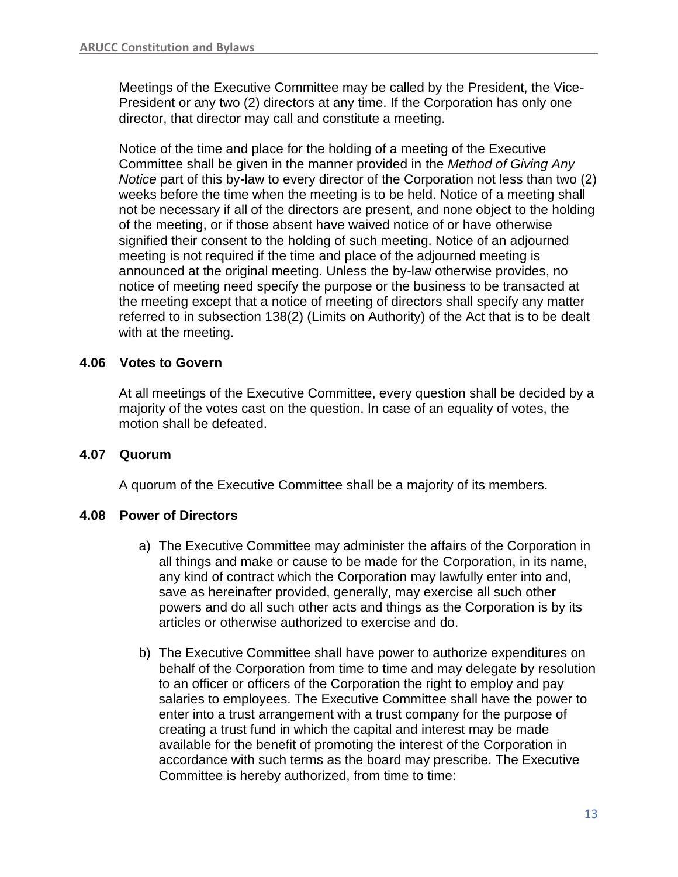Meetings of the Executive Committee may be called by the President, the Vice-President or any two (2) directors at any time. If the Corporation has only one director, that director may call and constitute a meeting.

Notice of the time and place for the holding of a meeting of the Executive Committee shall be given in the manner provided in the *Method of Giving Any Notice* part of this by-law to every director of the Corporation not less than two (2) weeks before the time when the meeting is to be held. Notice of a meeting shall not be necessary if all of the directors are present, and none object to the holding of the meeting, or if those absent have waived notice of or have otherwise signified their consent to the holding of such meeting. Notice of an adjourned meeting is not required if the time and place of the adjourned meeting is announced at the original meeting. Unless the by-law otherwise provides, no notice of meeting need specify the purpose or the business to be transacted at the meeting except that a notice of meeting of directors shall specify any matter referred to in subsection 138(2) (Limits on Authority) of the Act that is to be dealt with at the meeting.

## **4.06 Votes to Govern**

At all meetings of the Executive Committee, every question shall be decided by a majority of the votes cast on the question. In case of an equality of votes, the motion shall be defeated.

## **4.07 Quorum**

A quorum of the Executive Committee shall be a majority of its members.

## **4.08 Power of Directors**

- a) The Executive Committee may administer the affairs of the Corporation in all things and make or cause to be made for the Corporation, in its name, any kind of contract which the Corporation may lawfully enter into and, save as hereinafter provided, generally, may exercise all such other powers and do all such other acts and things as the Corporation is by its articles or otherwise authorized to exercise and do.
- b) The Executive Committee shall have power to authorize expenditures on behalf of the Corporation from time to time and may delegate by resolution to an officer or officers of the Corporation the right to employ and pay salaries to employees. The Executive Committee shall have the power to enter into a trust arrangement with a trust company for the purpose of creating a trust fund in which the capital and interest may be made available for the benefit of promoting the interest of the Corporation in accordance with such terms as the board may prescribe. The Executive Committee is hereby authorized, from time to time: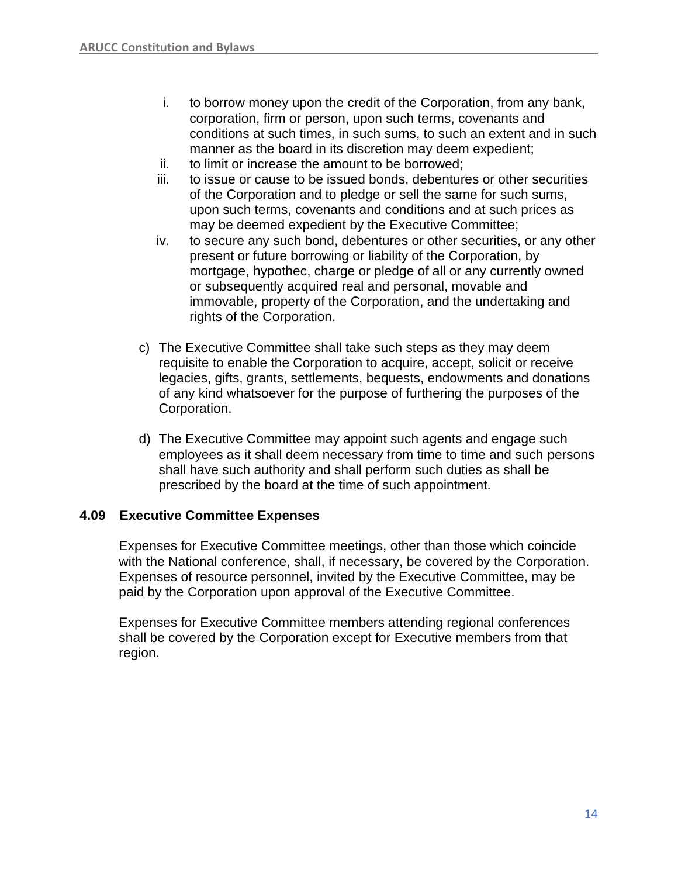- i. to borrow money upon the credit of the Corporation, from any bank, corporation, firm or person, upon such terms, covenants and conditions at such times, in such sums, to such an extent and in such manner as the board in its discretion may deem expedient;
- ii. to limit or increase the amount to be borrowed;
- iii. to issue or cause to be issued bonds, debentures or other securities of the Corporation and to pledge or sell the same for such sums, upon such terms, covenants and conditions and at such prices as may be deemed expedient by the Executive Committee;
- iv. to secure any such bond, debentures or other securities, or any other present or future borrowing or liability of the Corporation, by mortgage, hypothec, charge or pledge of all or any currently owned or subsequently acquired real and personal, movable and immovable, property of the Corporation, and the undertaking and rights of the Corporation.
- c) The Executive Committee shall take such steps as they may deem requisite to enable the Corporation to acquire, accept, solicit or receive legacies, gifts, grants, settlements, bequests, endowments and donations of any kind whatsoever for the purpose of furthering the purposes of the Corporation.
- d) The Executive Committee may appoint such agents and engage such employees as it shall deem necessary from time to time and such persons shall have such authority and shall perform such duties as shall be prescribed by the board at the time of such appointment.

## **4.09 Executive Committee Expenses**

Expenses for Executive Committee meetings, other than those which coincide with the National conference, shall, if necessary, be covered by the Corporation. Expenses of resource personnel, invited by the Executive Committee, may be paid by the Corporation upon approval of the Executive Committee.

Expenses for Executive Committee members attending regional conferences shall be covered by the Corporation except for Executive members from that region.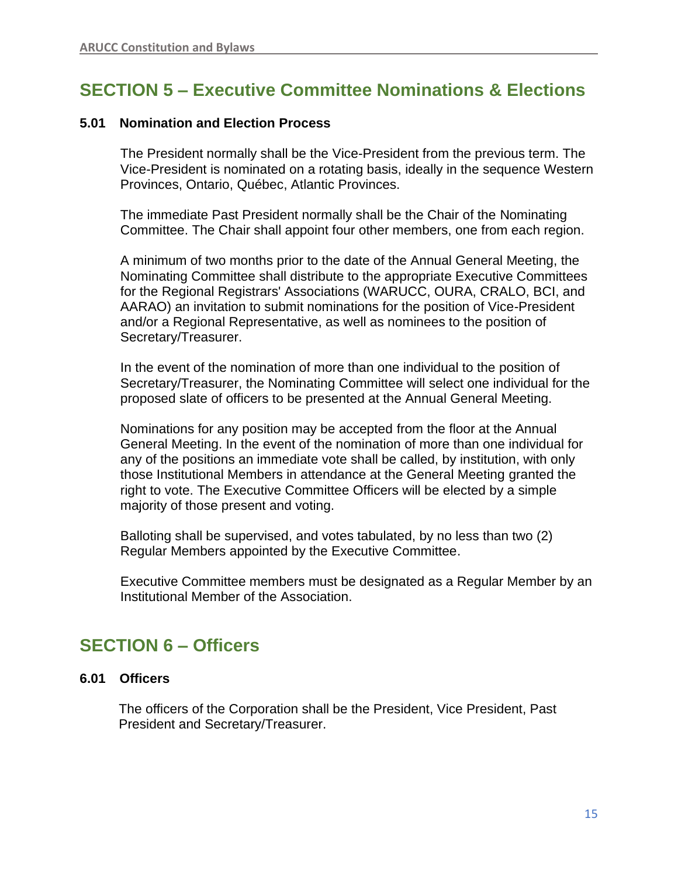# **SECTION 5 – Executive Committee Nominations & Elections**

## **5.01 Nomination and Election Process**

The President normally shall be the Vice-President from the previous term. The Vice-President is nominated on a rotating basis, ideally in the sequence Western Provinces, Ontario, Québec, Atlantic Provinces.

The immediate Past President normally shall be the Chair of the Nominating Committee. The Chair shall appoint four other members, one from each region.

A minimum of two months prior to the date of the Annual General Meeting, the Nominating Committee shall distribute to the appropriate Executive Committees for the Regional Registrars' Associations (WARUCC, OURA, CRALO, BCI, and AARAO) an invitation to submit nominations for the position of Vice-President and/or a Regional Representative, as well as nominees to the position of Secretary/Treasurer.

In the event of the nomination of more than one individual to the position of Secretary/Treasurer, the Nominating Committee will select one individual for the proposed slate of officers to be presented at the Annual General Meeting.

Nominations for any position may be accepted from the floor at the Annual General Meeting. In the event of the nomination of more than one individual for any of the positions an immediate vote shall be called, by institution, with only those Institutional Members in attendance at the General Meeting granted the right to vote. The Executive Committee Officers will be elected by a simple majority of those present and voting.

Balloting shall be supervised, and votes tabulated, by no less than two (2) Regular Members appointed by the Executive Committee.

Executive Committee members must be designated as a Regular Member by an Institutional Member of the Association.

## **SECTION 6 – Officers**

## **6.01 Officers**

The officers of the Corporation shall be the President, Vice President, Past President and Secretary/Treasurer.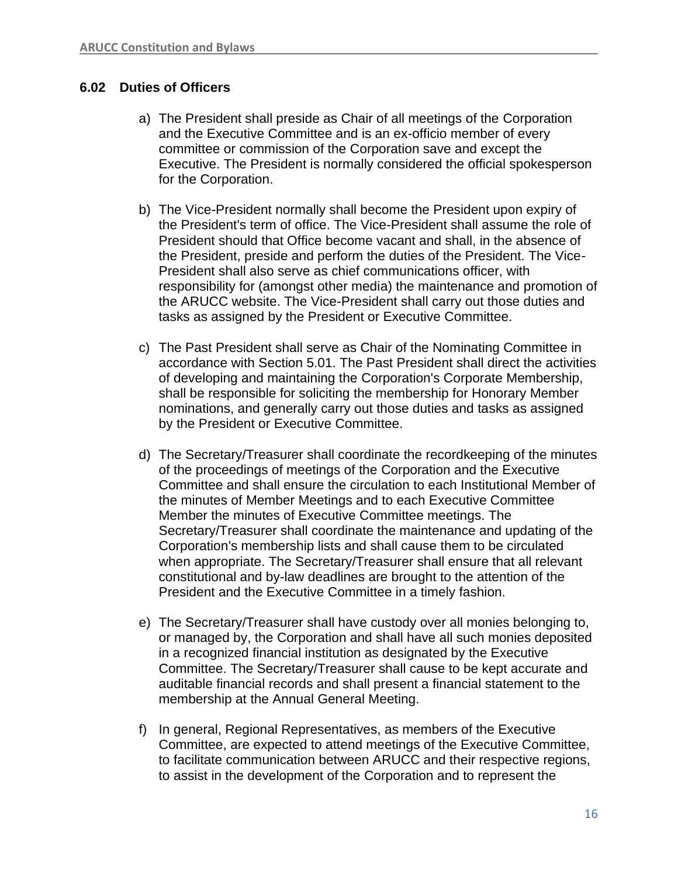## **6.02 Duties of Officers**

- a) The President shall preside as Chair of all meetings of the Corporation and the Executive Committee and is an ex-officio member of every committee or commission of the Corporation save and except the Executive. The President is normally considered the official spokesperson for the Corporation.
- b) The Vice-President normally shall become the President upon expiry of the President's term of office. The Vice-President shall assume the role of President should that Office become vacant and shall, in the absence of the President, preside and perform the duties of the President. The Vice-President shall also serve as chief communications officer, with responsibility for (amongst other media) the maintenance and promotion of the ARUCC website. The Vice-President shall carry out those duties and tasks as assigned by the President or Executive Committee.
- c) The Past President shall serve as Chair of the Nominating Committee in accordance with Section 5.01. The Past President shall direct the activities of developing and maintaining the Corporation's Corporate Membership, shall be responsible for soliciting the membership for Honorary Member nominations, and generally carry out those duties and tasks as assigned by the President or Executive Committee.
- d) The Secretary/Treasurer shall coordinate the recordkeeping of the minutes of the proceedings of meetings of the Corporation and the Executive Committee and shall ensure the circulation to each Institutional Member of the minutes of Member Meetings and to each Executive Committee Member the minutes of Executive Committee meetings. The Secretary/Treasurer shall coordinate the maintenance and updating of the Corporation's membership lists and shall cause them to be circulated when appropriate. The Secretary/Treasurer shall ensure that all relevant constitutional and by-law deadlines are brought to the attention of the President and the Executive Committee in a timely fashion.
- e) The Secretary/Treasurer shall have custody over all monies belonging to, or managed by, the Corporation and shall have all such monies deposited in a recognized financial institution as designated by the Executive Committee. The Secretary/Treasurer shall cause to be kept accurate and auditable financial records and shall present a financial statement to the membership at the Annual General Meeting.
- f) In general, Regional Representatives, as members of the Executive Committee, are expected to attend meetings of the Executive Committee, to facilitate communication between ARUCC and their respective regions, to assist in the development of the Corporation and to represent the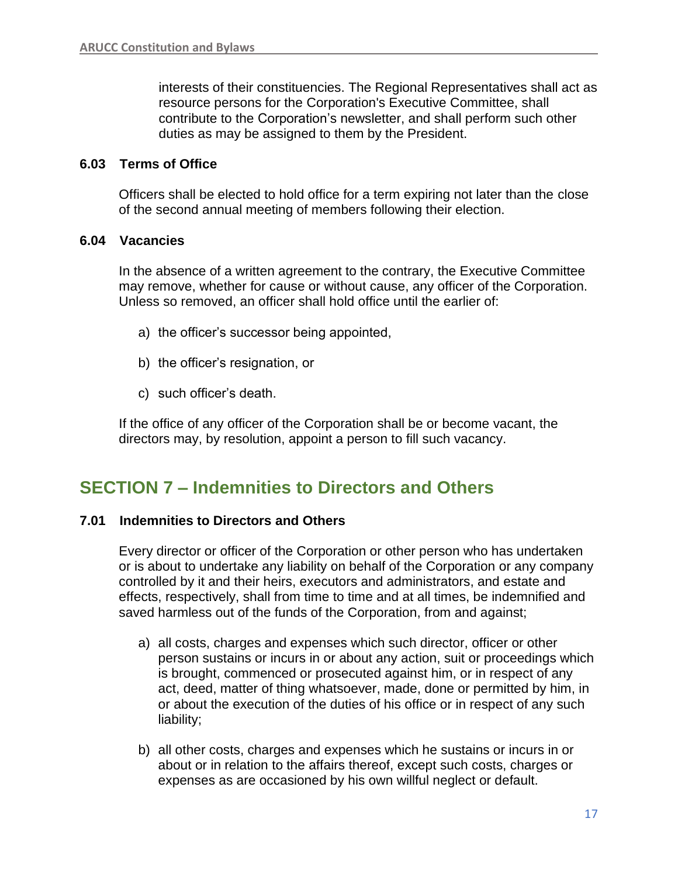interests of their constituencies. The Regional Representatives shall act as resource persons for the Corporation's Executive Committee, shall contribute to the Corporation's newsletter, and shall perform such other duties as may be assigned to them by the President.

#### **6.03 Terms of Office**

Officers shall be elected to hold office for a term expiring not later than the close of the second annual meeting of members following their election.

#### **6.04 Vacancies**

In the absence of a written agreement to the contrary, the Executive Committee may remove, whether for cause or without cause, any officer of the Corporation. Unless so removed, an officer shall hold office until the earlier of:

- a) the officer's successor being appointed,
- b) the officer's resignation, or
- c) such officer's death.

If the office of any officer of the Corporation shall be or become vacant, the directors may, by resolution, appoint a person to fill such vacancy.

## **SECTION 7 – Indemnities to Directors and Others**

#### **7.01 Indemnities to Directors and Others**

Every director or officer of the Corporation or other person who has undertaken or is about to undertake any liability on behalf of the Corporation or any company controlled by it and their heirs, executors and administrators, and estate and effects, respectively, shall from time to time and at all times, be indemnified and saved harmless out of the funds of the Corporation, from and against;

- a) all costs, charges and expenses which such director, officer or other person sustains or incurs in or about any action, suit or proceedings which is brought, commenced or prosecuted against him, or in respect of any act, deed, matter of thing whatsoever, made, done or permitted by him, in or about the execution of the duties of his office or in respect of any such liability;
- b) all other costs, charges and expenses which he sustains or incurs in or about or in relation to the affairs thereof, except such costs, charges or expenses as are occasioned by his own willful neglect or default.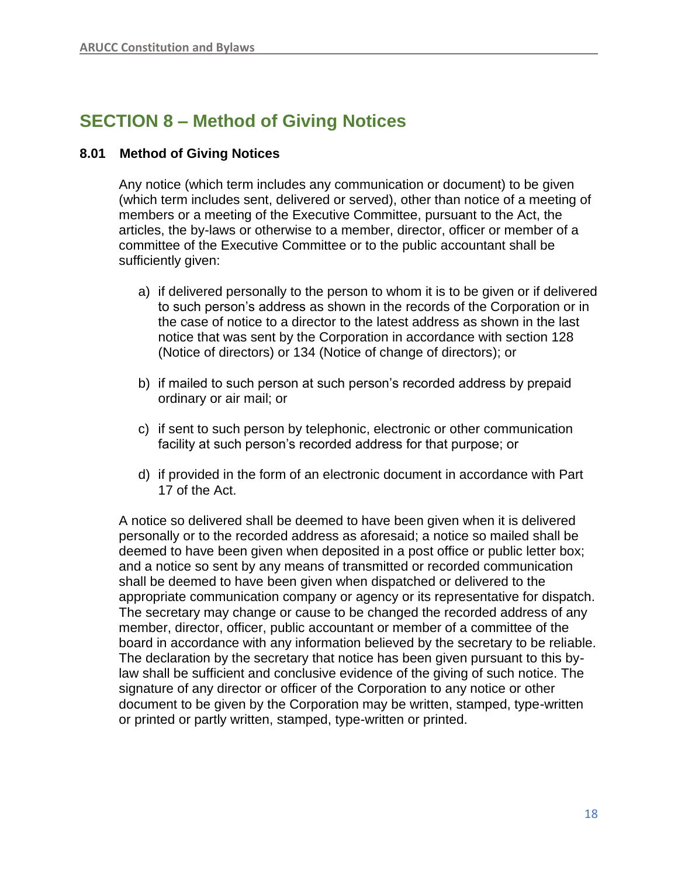# **SECTION 8 – Method of Giving Notices**

## **8.01 Method of Giving Notices**

Any notice (which term includes any communication or document) to be given (which term includes sent, delivered or served), other than notice of a meeting of members or a meeting of the Executive Committee, pursuant to the Act, the articles, the by-laws or otherwise to a member, director, officer or member of a committee of the Executive Committee or to the public accountant shall be sufficiently given:

- a) if delivered personally to the person to whom it is to be given or if delivered to such person's address as shown in the records of the Corporation or in the case of notice to a director to the latest address as shown in the last notice that was sent by the Corporation in accordance with section 128 (Notice of directors) or 134 (Notice of change of directors); or
- b) if mailed to such person at such person's recorded address by prepaid ordinary or air mail; or
- c) if sent to such person by telephonic, electronic or other communication facility at such person's recorded address for that purpose; or
- d) if provided in the form of an electronic document in accordance with Part 17 of the Act.

A notice so delivered shall be deemed to have been given when it is delivered personally or to the recorded address as aforesaid; a notice so mailed shall be deemed to have been given when deposited in a post office or public letter box; and a notice so sent by any means of transmitted or recorded communication shall be deemed to have been given when dispatched or delivered to the appropriate communication company or agency or its representative for dispatch. The secretary may change or cause to be changed the recorded address of any member, director, officer, public accountant or member of a committee of the board in accordance with any information believed by the secretary to be reliable. The declaration by the secretary that notice has been given pursuant to this bylaw shall be sufficient and conclusive evidence of the giving of such notice. The signature of any director or officer of the Corporation to any notice or other document to be given by the Corporation may be written, stamped, type-written or printed or partly written, stamped, type-written or printed.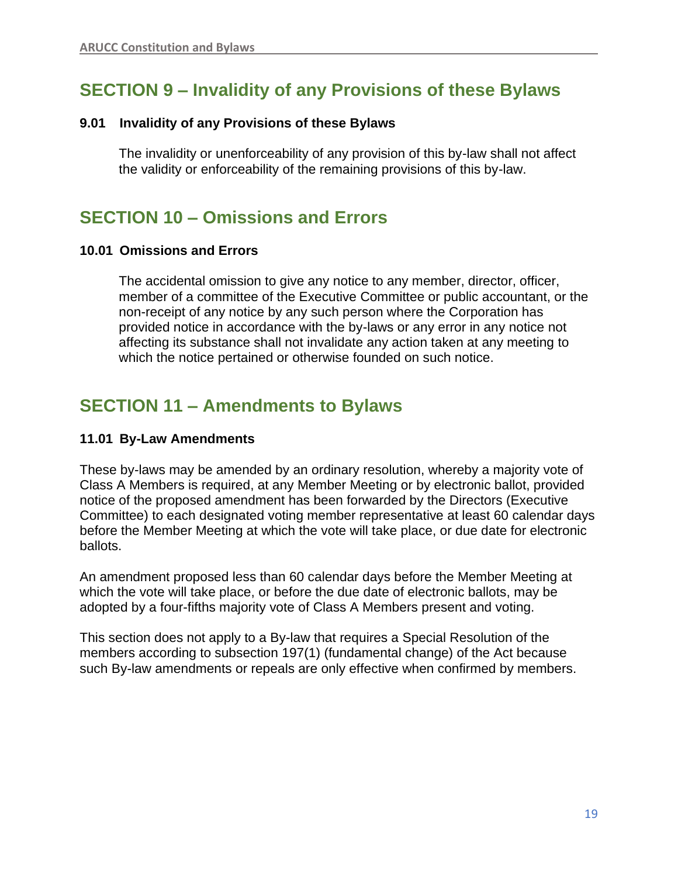# **SECTION 9 – Invalidity of any Provisions of these Bylaws**

## **9.01 Invalidity of any Provisions of these Bylaws**

The invalidity or unenforceability of any provision of this by-law shall not affect the validity or enforceability of the remaining provisions of this by-law.

## **SECTION 10 – Omissions and Errors**

## **10.01 Omissions and Errors**

The accidental omission to give any notice to any member, director, officer, member of a committee of the Executive Committee or public accountant, or the non-receipt of any notice by any such person where the Corporation has provided notice in accordance with the by-laws or any error in any notice not affecting its substance shall not invalidate any action taken at any meeting to which the notice pertained or otherwise founded on such notice.

# **SECTION 11 – Amendments to Bylaws**

## **11.01 By-Law Amendments**

These by-laws may be amended by an ordinary resolution, whereby a majority vote of Class A Members is required, at any Member Meeting or by electronic ballot, provided notice of the proposed amendment has been forwarded by the Directors (Executive Committee) to each designated voting member representative at least 60 calendar days before the Member Meeting at which the vote will take place, or due date for electronic ballots.

An amendment proposed less than 60 calendar days before the Member Meeting at which the vote will take place, or before the due date of electronic ballots, may be adopted by a four-fifths majority vote of Class A Members present and voting.

This section does not apply to a By-law that requires a Special Resolution of the members according to subsection 197(1) (fundamental change) of the Act because such By-law amendments or repeals are only effective when confirmed by members.